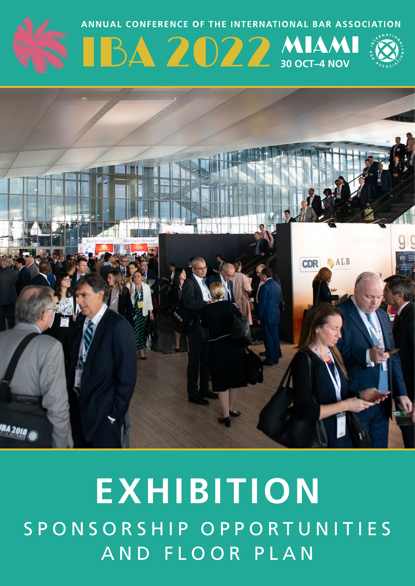

# **EXHIBITION** S P O N S O R S H I P O P P O R T U N I T I E S AND FLOOR PLAN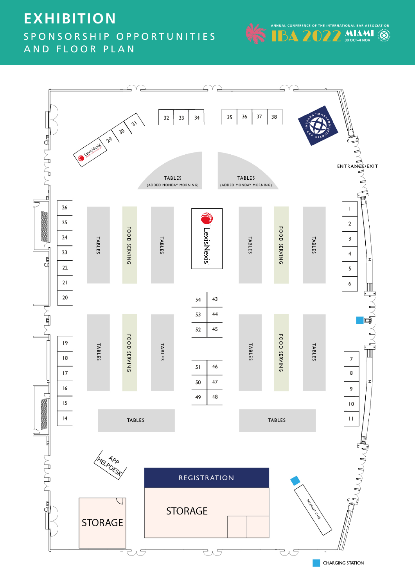# **EXHIBITION** S P O N S O R S H I P O P P O R T U N I T I E S AND FLOOR PLAN



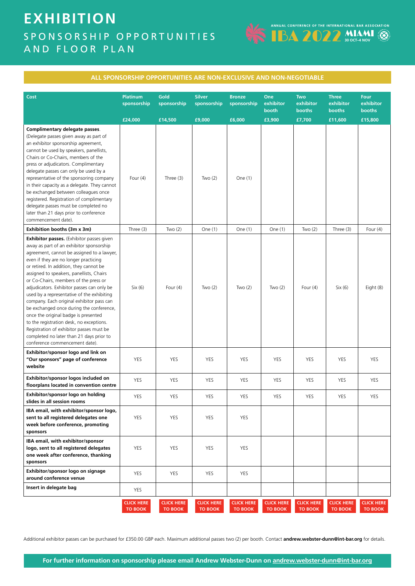# **EXHIBITION** S P O N S O R S H I P O P P O R T U N I T I E S AND FLOOR PLAN



| <u>ALL SPUNSUNSHIP UPPUNTUNITIES ANE NUN-EALLUSIVE AND NUN-NEGUTIABLE</u>                                                                                                                                                                                                                                                                                                                                                                                                                                                                                                                                                                                                                                              |                                           |                                     |                                        |                                        |                                     |                                             |                                                |                                        |
|------------------------------------------------------------------------------------------------------------------------------------------------------------------------------------------------------------------------------------------------------------------------------------------------------------------------------------------------------------------------------------------------------------------------------------------------------------------------------------------------------------------------------------------------------------------------------------------------------------------------------------------------------------------------------------------------------------------------|-------------------------------------------|-------------------------------------|----------------------------------------|----------------------------------------|-------------------------------------|---------------------------------------------|------------------------------------------------|----------------------------------------|
| Cost                                                                                                                                                                                                                                                                                                                                                                                                                                                                                                                                                                                                                                                                                                                   | <b>Platinum</b><br>sponsorship<br>£24,000 | Gold<br>sponsorship<br>£14,500      | <b>Silver</b><br>sponsorship<br>£9,000 | <b>Bronze</b><br>sponsorship<br>£6,000 | One<br>exhibitor<br>booth<br>£3,900 | <b>Two</b><br>exhibitor<br>booths<br>£7,700 | <b>Three</b><br>exhibitor<br>booths<br>£11,600 | Four<br>exhibitor<br>booths<br>£15,800 |
| Complimentary delegate passes.<br>(Delegate passes given away as part of<br>an exhibitor sponsorship agreement,<br>cannot be used by speakers, panellists,<br>Chairs or Co-Chairs, members of the<br>press or adjudicators. Complimentary<br>delegate passes can only be used by a<br>representative of the sponsoring company<br>in their capacity as a delegate. They cannot<br>be exchanged between colleagues once<br>registered. Registration of complimentary<br>delegate passes must be completed no<br>later than 21 days prior to conference                                                                                                                                                                  | Four $(4)$                                | Three $(3)$                         | Two $(2)$                              | One $(1)$                              |                                     |                                             |                                                |                                        |
| commencement date).                                                                                                                                                                                                                                                                                                                                                                                                                                                                                                                                                                                                                                                                                                    |                                           |                                     |                                        |                                        |                                     |                                             |                                                |                                        |
| Exhibition booths (3m x 3m)                                                                                                                                                                                                                                                                                                                                                                                                                                                                                                                                                                                                                                                                                            | Three (3)                                 | Two $(2)$                           | One $(1)$                              | One (1)                                | One $(1)$                           | Two $(2)$                                   | Three $(3)$                                    | Four $(4)$                             |
| <b>Exhibitor passes.</b> (Exhibitor passes given<br>away as part of an exhibitor sponsorship<br>agreement, cannot be assigned to a lawyer,<br>even if they are no longer practicing<br>or retired. In addition, they cannot be<br>assigned to speakers, panellists, Chairs<br>or Co-Chairs, members of the press or<br>adjudicators. Exhibitor passes can only be<br>used by a representative of the exhibiting<br>company. Each original exhibitor pass can<br>be exchanged once during the conference,<br>once the original badge is presented<br>to the registration desk, no exceptions.<br>Registration of exhibitor passes must be<br>completed no later than 21 days prior to<br>conference commencement date). | Six (6)                                   | Four $(4)$                          | Two $(2)$                              | Two $(2)$                              | Two $(2)$                           | Four $(4)$                                  | Six (6)                                        | Eight (8)                              |
| Exhibitor/sponsor logo and link on<br>"Our sponsors" page of conference<br>website                                                                                                                                                                                                                                                                                                                                                                                                                                                                                                                                                                                                                                     | YES                                       | YES                                 | <b>YES</b>                             | YES                                    | YES                                 | YES                                         | YES                                            | YES                                    |
| Exhibitor/sponsor logos included on<br>floorplans located in convention centre                                                                                                                                                                                                                                                                                                                                                                                                                                                                                                                                                                                                                                         | <b>YES</b>                                | <b>YES</b>                          | <b>YES</b>                             | <b>YES</b>                             | YES                                 | YES                                         | YES                                            | YES                                    |
| Exhibitor/sponsor logo on holding<br>slides in all session rooms                                                                                                                                                                                                                                                                                                                                                                                                                                                                                                                                                                                                                                                       | YES                                       | YES                                 | YES                                    | YES                                    | YES                                 | YES                                         | YES                                            | YES                                    |
| IBA email, with exhibitor/sponsor logo,<br>sent to all registered delegates one<br>week before conference, promoting<br>sponsors                                                                                                                                                                                                                                                                                                                                                                                                                                                                                                                                                                                       | YES                                       | YES                                 | YES                                    | YES                                    |                                     |                                             |                                                |                                        |
| IBA email, with exhibitor/sponsor<br>logo, sent to all registered delegates<br>one week after conference, thanking<br>sponsors                                                                                                                                                                                                                                                                                                                                                                                                                                                                                                                                                                                         | YES                                       | YES                                 | YES                                    | YES                                    |                                     |                                             |                                                |                                        |
| Exhibitor/sponsor logo on signage<br>around conference venue                                                                                                                                                                                                                                                                                                                                                                                                                                                                                                                                                                                                                                                           | YES                                       | <b>YES</b>                          | YES                                    | YES                                    |                                     |                                             |                                                |                                        |
| Insert in delegate bag                                                                                                                                                                                                                                                                                                                                                                                                                                                                                                                                                                                                                                                                                                 | YES                                       |                                     |                                        |                                        |                                     |                                             |                                                |                                        |
|                                                                                                                                                                                                                                                                                                                                                                                                                                                                                                                                                                                                                                                                                                                        | <b>CLICK HERE</b><br><b>TO BOOK</b>       | <b>CLICK HERE</b><br><b>TO BOOK</b> | <b>CLICK HERE</b><br><b>TO BOOK</b>    | <b>CLICK HERE</b><br><b>TO BOOK</b>    | <b>CLICK HERE</b><br><b>TO BOOK</b> | <b>CLICK HERE</b><br><b>TO BOOK</b>         | <b>CLICK HERE</b><br><b>TO BOOK</b>            | <b>CLICK HERE</b><br>TO BOOK           |

**ALL SPONSORSHIP OPPORTUNITIES ARE NON-EXCLUSIVE AND NON-NEGOTIABLE**

Additional exhibitor passes can be purchased for £350.00 GBP each. Maximum additional passes two (2) per booth. Contact **[andrew.webster-dunn@int-bar.org](mailto:andrew.webster-dunn%40int-bar.org?subject=)** for details.